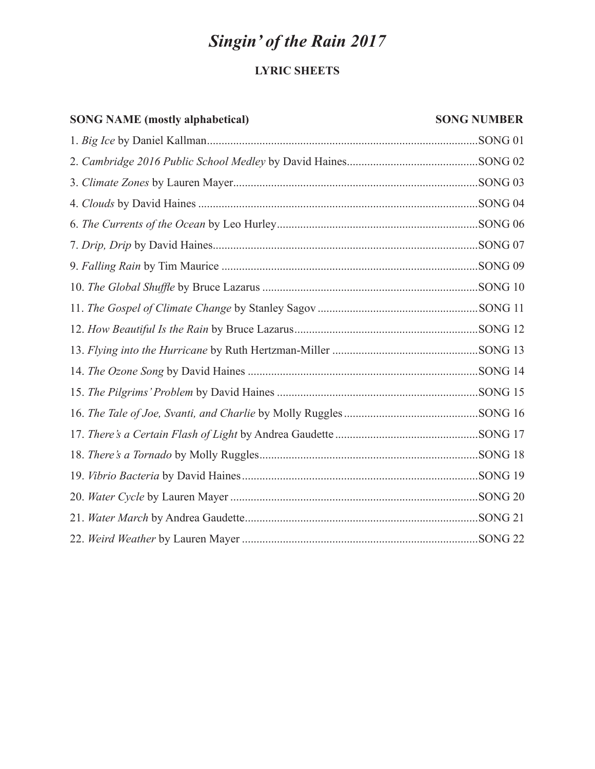# *Singin' of the Rain 2017*

# **LYRIC SHEETS**

# **SONG NAME (mostly alphabetical)** SONG NUMBER

| .SONG <sub>01</sub> |
|---------------------|
|                     |
|                     |
|                     |
|                     |
|                     |
|                     |
|                     |
|                     |
|                     |
|                     |
|                     |
|                     |
|                     |
|                     |
|                     |
|                     |
|                     |
|                     |
|                     |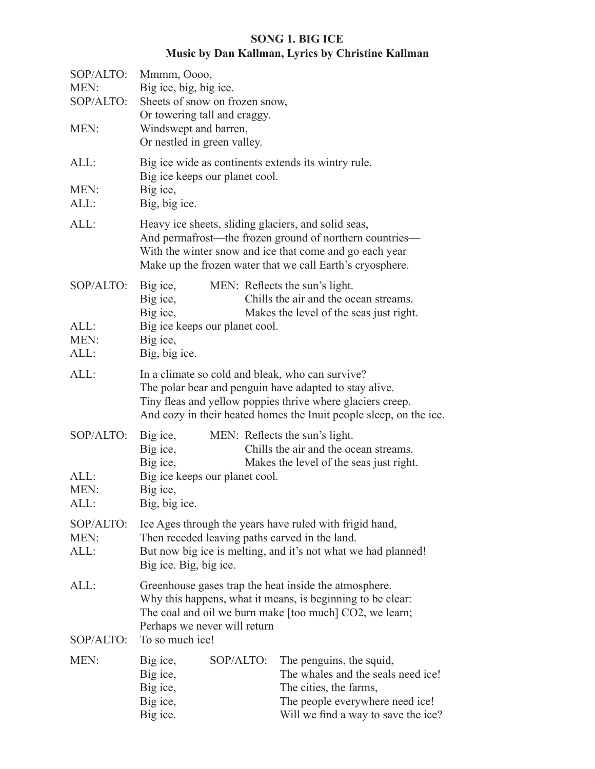# **SONG 1. BIG ICE Music by Dan Kallman, Lyrics by Christine Kallman**

| SOP/ALTO:<br>MEN:<br>SOP/ALTO:<br>MEN: | Mmmm, Oooo,<br>Big ice, big, big ice.<br>Sheets of snow on frozen snow,<br>Or towering tall and craggy.<br>Windswept and barren,<br>Or nestled in green valley.                                                                                |                                                                                                                                                      |                                                                                                                                                                                |  |
|----------------------------------------|------------------------------------------------------------------------------------------------------------------------------------------------------------------------------------------------------------------------------------------------|------------------------------------------------------------------------------------------------------------------------------------------------------|--------------------------------------------------------------------------------------------------------------------------------------------------------------------------------|--|
| ALL:<br>MEN:<br>ALL:                   | Big ice wide as continents extends its wintry rule.<br>Big ice keeps our planet cool.<br>Big ice,<br>Big, big ice.                                                                                                                             |                                                                                                                                                      |                                                                                                                                                                                |  |
| ALL:                                   | Heavy ice sheets, sliding glaciers, and solid seas,<br>And permafrost—the frozen ground of northern countries—<br>With the winter snow and ice that come and go each year<br>Make up the frozen water that we call Earth's cryosphere.         |                                                                                                                                                      |                                                                                                                                                                                |  |
| SOP/ALTO:<br>ALL:<br>MEN:<br>ALL:      | Big ice,<br>Big ice,<br>Big ice,<br>Big ice keeps our planet cool.<br>Big ice,<br>Big, big ice.                                                                                                                                                |                                                                                                                                                      | MEN: Reflects the sun's light.<br>Chills the air and the ocean streams.<br>Makes the level of the seas just right.                                                             |  |
| ALL:                                   | In a climate so cold and bleak, who can survive?<br>The polar bear and penguin have adapted to stay alive.<br>Tiny fleas and yellow poppies thrive where glaciers creep.<br>And cozy in their heated homes the Inuit people sleep, on the ice. |                                                                                                                                                      |                                                                                                                                                                                |  |
| SOP/ALTO:<br>ALL:<br>MEN:<br>ALL:      | Big ice,<br>Big ice,<br>Big ice,<br>Big ice,<br>Big, big ice.                                                                                                                                                                                  | MEN: Reflects the sun's light.<br>Chills the air and the ocean streams.<br>Makes the level of the seas just right.<br>Big ice keeps our planet cool. |                                                                                                                                                                                |  |
| SOP/ALTO:<br>MEN:<br>ALL:              | Ice Ages through the years have ruled with frigid hand,<br>Then receded leaving paths carved in the land.<br>But now big ice is melting, and it's not what we had planned!<br>Big ice. Big, big ice.                                           |                                                                                                                                                      |                                                                                                                                                                                |  |
| ALL:<br>SOP/ALTO:                      | Perhaps we never will return<br>To so much ice!                                                                                                                                                                                                |                                                                                                                                                      | Greenhouse gases trap the heat inside the atmosphere.<br>Why this happens, what it means, is beginning to be clear:<br>The coal and oil we burn make [too much] CO2, we learn; |  |
| MEN:                                   | Big ice,<br>Big ice,<br>Big ice,<br>Big ice,<br>Big ice.                                                                                                                                                                                       | SOP/ALTO:                                                                                                                                            | The penguins, the squid,<br>The whales and the seals need ice!<br>The cities, the farms,<br>The people everywhere need ice!<br>Will we find a way to save the ice?             |  |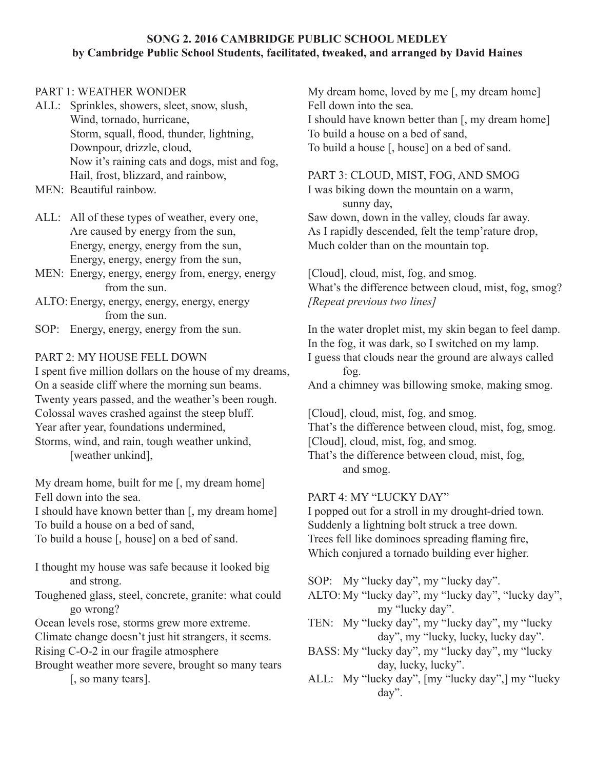#### **SONG 2. 2016 CAMBRIDGE PUBLIC SCHOOL MEDLEY by Cambridge Public School Students, facilitated, tweaked, and arranged by David Haines**

#### PART 1: WEATHER WONDER

- ALL: Sprinkles, showers, sleet, snow, slush, Wind, tornado, hurricane, Storm, squall, flood, thunder, lightning, Downpour, drizzle, cloud, Now it's raining cats and dogs, mist and fog, Hail, frost, blizzard, and rainbow,
- MEN: Beautiful rainbow.
- ALL: All of these types of weather, every one, Are caused by energy from the sun, Energy, energy, energy from the sun, Energy, energy, energy from the sun,
- MEN: Energy, energy, energy from, energy, energy from the sun.
- ALTO: Energy, energy, energy, energy, energy from the sun.
- SOP: Energy, energy, energy from the sun.

#### PART 2: MY HOUSE FELL DOWN

I spent five million dollars on the house of my dreams, On a seaside cliff where the morning sun beams. Twenty years passed, and the weather's been rough. Colossal waves crashed against the steep bluff. Year after year, foundations undermined, Storms, wind, and rain, tough weather unkind,

[weather unkind],

My dream home, built for me [, my dream home] Fell down into the sea.

I should have known better than [, my dream home] To build a house on a bed of sand,

To build a house [, house] on a bed of sand.

- I thought my house was safe because it looked big and strong.
- Toughened glass, steel, concrete, granite: what could go wrong?
- Ocean levels rose, storms grew more extreme.
- Climate change doesn't just hit strangers, it seems. Rising C-O-2 in our fragile atmosphere
- Brought weather more severe, brought so many tears [, so many tears].

My dream home, loved by me [, my dream home] Fell down into the sea. I should have known better than [, my dream home] To build a house on a bed of sand, To build a house [, house] on a bed of sand.

# PART 3: CLOUD, MIST, FOG, AND SMOG

I was biking down the mountain on a warm, sunny day, Saw down, down in the valley, clouds far away. As I rapidly descended, felt the temp'rature drop, Much colder than on the mountain top.

[Cloud], cloud, mist, fog, and smog. What's the difference between cloud, mist, fog, smog? *[Repeat previous two lines]*

In the water droplet mist, my skin began to feel damp. In the fog, it was dark, so I switched on my lamp.

I guess that clouds near the ground are always called fog.

And a chimney was billowing smoke, making smog.

[Cloud], cloud, mist, fog, and smog.

That's the difference between cloud, mist, fog, smog. [Cloud], cloud, mist, fog, and smog.

That's the difference between cloud, mist, fog, and smog.

# PART 4: MY "LUCKY DAY"

I popped out for a stroll in my drought-dried town. Suddenly a lightning bolt struck a tree down. Trees fell like dominoes spreading flaming fire, Which conjured a tornado building ever higher.

SOP: My "lucky day", my "lucky day".

- ALTO: My "lucky day", my "lucky day", "lucky day", my "lucky day".
- TEN: My "lucky day", my "lucky day", my "lucky day", my "lucky, lucky, lucky day".
- BASS: My "lucky day", my "lucky day", my "lucky day, lucky, lucky".
- ALL: My "lucky day", [my "lucky day",] my "lucky day".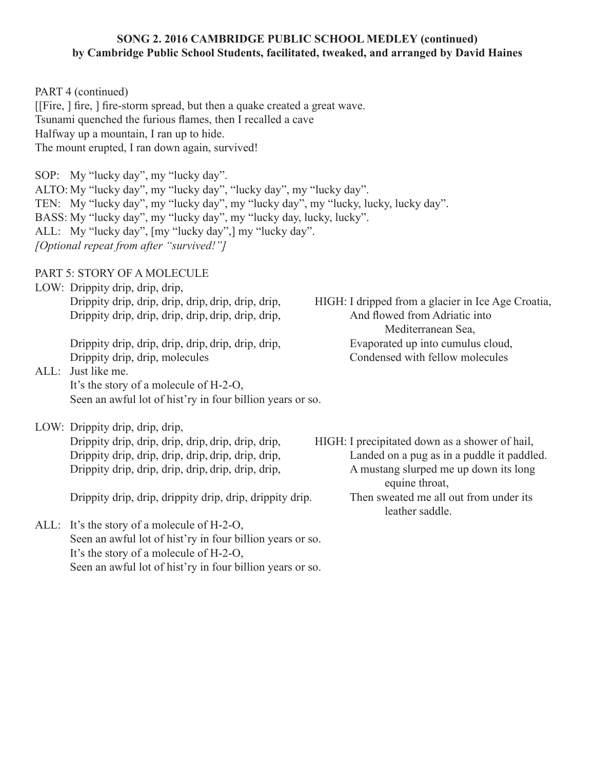#### **SONG 2. 2016 CAMBRIDGE PUBLIC SCHOOL MEDLEY (continued) by Cambridge Public School Students, facilitated, tweaked, and arranged by David Haines**

PART 4 (continued) [[Fire, ] fire, ] fire-storm spread, but then a quake created a great wave. Tsunami quenched the furious flames, then I recalled a cave Halfway up a mountain, I ran up to hide. The mount erupted, I ran down again, survived!

SOP: My "lucky day", my "lucky day". ALTO: My "lucky day", my "lucky day", "lucky day", my "lucky day". TEN: My "lucky day", my "lucky day", my "lucky day", my "lucky, lucky, lucky day". BASS: My "lucky day", my "lucky day", my "lucky day, lucky, lucky". ALL: My "lucky day", [my "lucky day",] my "lucky day". *[Optional repeat from after "survived!"]*

PART 5: STORY OF A MOLECULE

LOW: Drippity drip, drip, drip, Drippity drip, drip, drip, drip, drip, drip, drip, HIGH: I dripped from a glacier in Ice Age Croatia, Drippity drip, drip, drip, drip, drip, drip, drip, drip,  $\Delta$  And flowed from Adriatic into

Drippity drip, drip, molecules Condensed with fellow molecules

ALL: Just like me. It's the story of a molecule of H-2-O, Seen an awful lot of hist'ry in four billion years or so.

LOW: Drippity drip, drip, drip,

Drippity drip, drip, drippity drip, drip, drippity drip. Then sweated me all out from under its

ALL: It's the story of a molecule of H-2-O, Seen an awful lot of hist'ry in four billion years or so. It's the story of a molecule of H-2-O, Seen an awful lot of hist'ry in four billion years or so.

 Mediterranean Sea, Drippity drip, drip, drip, drip, drip, drip, drip, drip, Evaporated up into cumulus cloud,

Drippity drip, drip, drip, drip, drip, drip, drip, drip, HIGH: I precipitated down as a shower of hail, Drippity drip, drip, drip, drip, drip, drip, drip, drip, Landed on a pug as in a puddle it paddled. Drippity drip, drip, drip, drip, drip, drip, drip, drip, A mustang slurped me up down its long equine throat, leather saddle.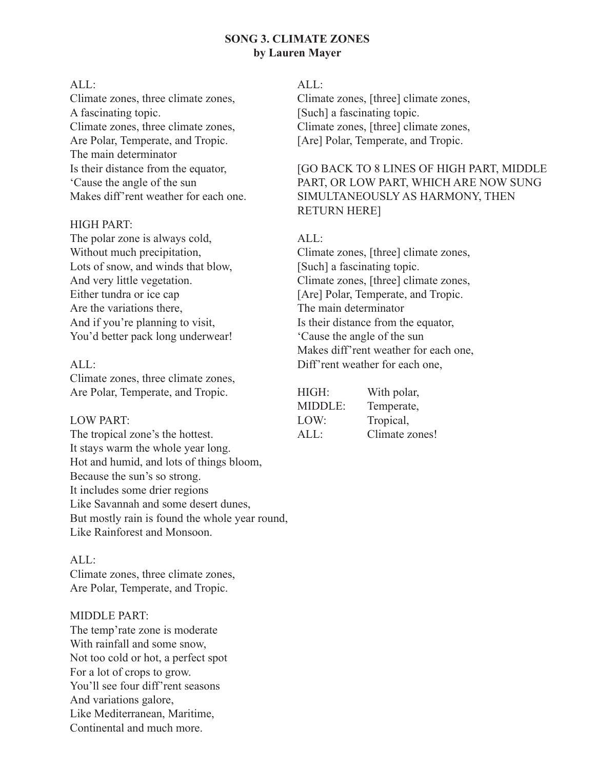#### **SONG 3. CLIMATE ZONES by Lauren Mayer**

#### ALL:

Climate zones, three climate zones, A fascinating topic. Climate zones, three climate zones, Are Polar, Temperate, and Tropic. The main determinator Is their distance from the equator, 'Cause the angle of the sun Makes diff'rent weather for each one.

#### HIGH PART:

The polar zone is always cold, Without much precipitation, Lots of snow, and winds that blow, And very little vegetation. Either tundra or ice cap Are the variations there, And if you're planning to visit, You'd better pack long underwear!

#### ALL:

Climate zones, three climate zones, Are Polar, Temperate, and Tropic.

#### LOW PART:

The tropical zone's the hottest. It stays warm the whole year long. Hot and humid, and lots of things bloom, Because the sun's so strong. It includes some drier regions Like Savannah and some desert dunes, But mostly rain is found the whole year round, Like Rainforest and Monsoon.

#### ALL:

Climate zones, three climate zones, Are Polar, Temperate, and Tropic.

#### MIDDLE PART:

The temp'rate zone is moderate With rainfall and some snow, Not too cold or hot, a perfect spot For a lot of crops to grow. You'll see four diff'rent seasons And variations galore, Like Mediterranean, Maritime, Continental and much more.

#### ALL:

Climate zones, [three] climate zones, [Such] a fascinating topic. Climate zones, [three] climate zones, [Are] Polar, Temperate, and Tropic.

#### [GO BACK TO 8 LINES OF HIGH PART, MIDDLE PART, OR LOW PART, WHICH ARE NOW SUNG SIMULTANEOUSLY AS HARMONY, THEN RETURN HERE]

#### ALL:

Climate zones, [three] climate zones, [Such] a fascinating topic. Climate zones, [three] climate zones, [Are] Polar, Temperate, and Tropic. The main determinator Is their distance from the equator, 'Cause the angle of the sun Makes diff'rent weather for each one, Diff'rent weather for each one,

| HIGH:   | With polar,    |
|---------|----------------|
| MIDDLE: | Temperate,     |
| LOW:    | Tropical,      |
| ALL     | Climate zones! |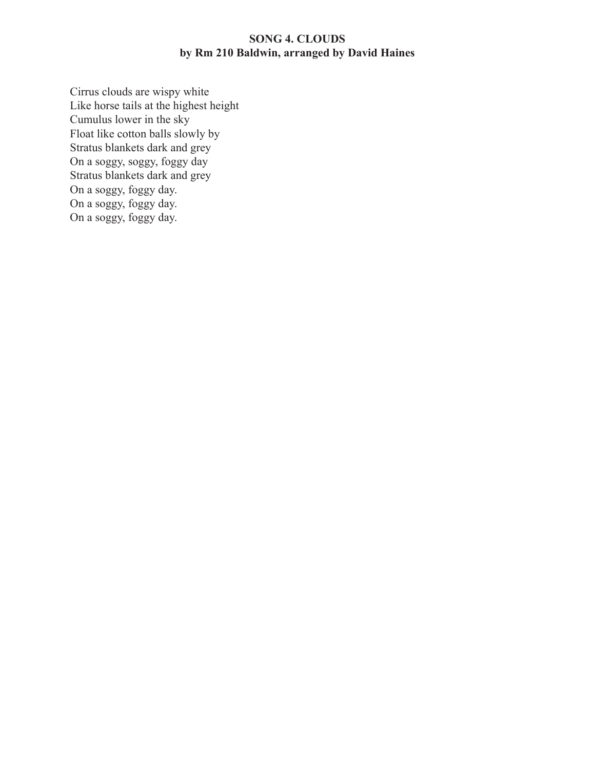# **SONG 4. CLOUDS by Rm 210 Baldwin, arranged by David Haines**

Cirrus clouds are wispy white Like horse tails at the highest height Cumulus lower in the sky Float like cotton balls slowly by Stratus blankets dark and grey On a soggy, soggy, foggy day Stratus blankets dark and grey On a soggy, foggy day. On a soggy, foggy day. On a soggy, foggy day.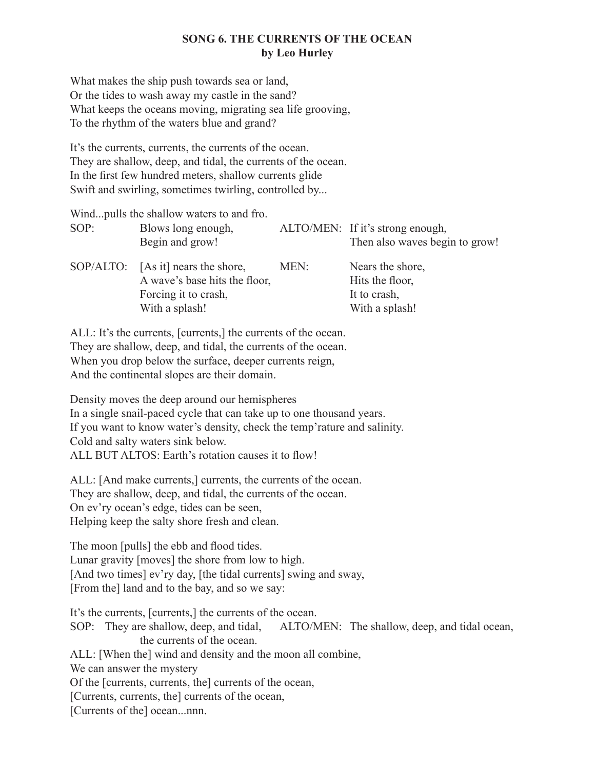#### **SONG 6. THE CURRENTS OF THE OCEAN by Leo Hurley**

What makes the ship push towards sea or land, Or the tides to wash away my castle in the sand? What keeps the oceans moving, migrating sea life grooving, To the rhythm of the waters blue and grand?

It's the currents, currents, the currents of the ocean. They are shallow, deep, and tidal, the currents of the ocean. In the first few hundred meters, shallow currents glide Swift and swirling, sometimes twirling, controlled by...

|      | Wind pulls the shallow waters to and fro.                                                                     |      |                                                                       |
|------|---------------------------------------------------------------------------------------------------------------|------|-----------------------------------------------------------------------|
| SOP: | Blows long enough,<br>Begin and grow!                                                                         |      | ALTO/MEN: If it's strong enough,<br>Then also waves begin to grow!    |
|      | SOP/ALTO: [As it] nears the shore,<br>A wave's base hits the floor,<br>Forcing it to crash,<br>With a splash! | MEN: | Nears the shore,<br>Hits the floor,<br>It to crash,<br>With a splash! |

ALL: It's the currents, [currents,] the currents of the ocean. They are shallow, deep, and tidal, the currents of the ocean. When you drop below the surface, deeper currents reign, And the continental slopes are their domain.

Density moves the deep around our hemispheres In a single snail-paced cycle that can take up to one thousand years. If you want to know water's density, check the temp'rature and salinity. Cold and salty waters sink below. ALL BUT ALTOS: Earth's rotation causes it to flow!

ALL: [And make currents,] currents, the currents of the ocean. They are shallow, deep, and tidal, the currents of the ocean. On ev'ry ocean's edge, tides can be seen, Helping keep the salty shore fresh and clean.

The moon [pulls] the ebb and flood tides. Lunar gravity [moves] the shore from low to high. [And two times] ev'ry day, [the tidal currents] swing and sway, [From the] land and to the bay, and so we say:

It's the currents, [currents,] the currents of the ocean. SOP: They are shallow, deep, and tidal, ALTO/MEN: The shallow, deep, and tidal ocean, the currents of the ocean. ALL: [When the] wind and density and the moon all combine, We can answer the mystery Of the [currents, currents, the] currents of the ocean, [Currents, currents, the] currents of the ocean,

[Currents of the] ocean...nnn.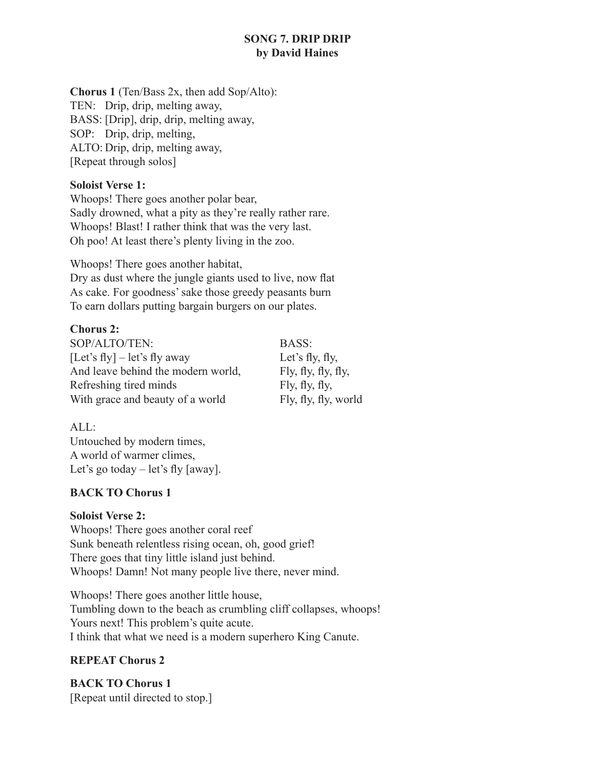# **SONG 7. DRIP DRIP by David Haines**

**Chorus 1** (Ten/Bass 2x, then add Sop/Alto): TEN: Drip, drip, melting away, BASS: [Drip], drip, drip, melting away, SOP: Drip, drip, melting, ALTO: Drip, drip, melting away, [Repeat through solos]

### **Soloist Verse 1:**

Whoops! There goes another polar bear, Sadly drowned, what a pity as they're really rather rare. Whoops! Blast! I rather think that was the very last. Oh poo! At least there's plenty living in the zoo.

Whoops! There goes another habitat, Dry as dust where the jungle giants used to live, now flat As cake. For goodness' sake those greedy peasants burn To earn dollars putting bargain burgers on our plates.

# **Chorus 2:**

SOP/ALTO/TEN: BASS: [Let's fly] – let's fly away Let's fly, fly, And leave behind the modern world,  $\qquad \qquad$  Fly, fly, fly, fly, Refreshing tired minds  $\qquad \qquad$  Fly, fly, fly, With grace and beauty of a world Fly, fly, fly, world

ALL: Untouched by modern times, A world of warmer climes, Let's go today  $-$  let's fly [away].

# **BACK TO Chorus 1**

#### **Soloist Verse 2:**

Whoops! There goes another coral reef Sunk beneath relentless rising ocean, oh, good grief! There goes that tiny little island just behind. Whoops! Damn! Not many people live there, never mind.

Whoops! There goes another little house, Tumbling down to the beach as crumbling cliff collapses, whoops! Yours next! This problem's quite acute. I think that what we need is a modern superhero King Canute.

# **REPEAT Chorus 2**

**BACK TO Chorus 1** [Repeat until directed to stop.]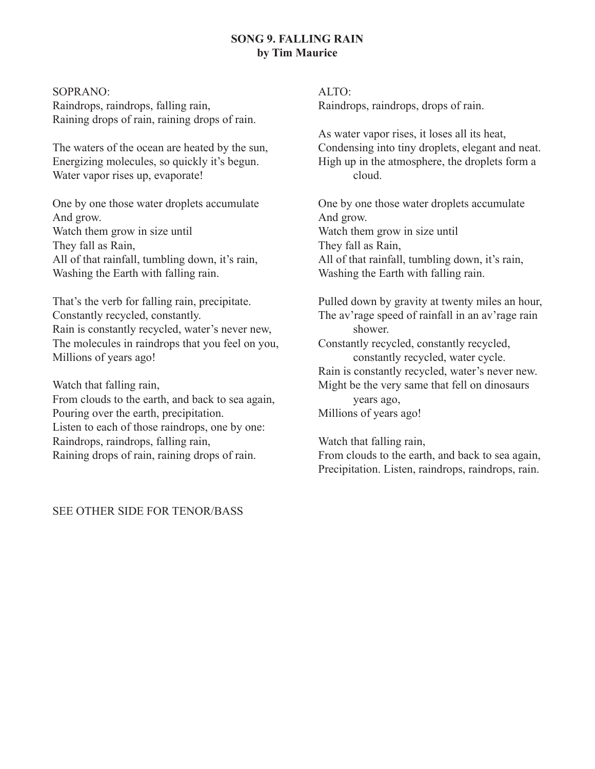#### **SONG 9. FALLING RAIN by Tim Maurice**

#### SOPRANO:

Raindrops, raindrops, falling rain, Raining drops of rain, raining drops of rain.

The waters of the ocean are heated by the sun, Energizing molecules, so quickly it's begun. Water vapor rises up, evaporate!

One by one those water droplets accumulate And grow. Watch them grow in size until They fall as Rain, All of that rainfall, tumbling down, it's rain, Washing the Earth with falling rain.

That's the verb for falling rain, precipitate. Constantly recycled, constantly. Rain is constantly recycled, water's never new, The molecules in raindrops that you feel on you, Millions of years ago!

Watch that falling rain,

From clouds to the earth, and back to sea again, Pouring over the earth, precipitation. Listen to each of those raindrops, one by one: Raindrops, raindrops, falling rain, Raining drops of rain, raining drops of rain.

ALTO: Raindrops, raindrops, drops of rain.

As water vapor rises, it loses all its heat, Condensing into tiny droplets, elegant and neat. High up in the atmosphere, the droplets form a cloud.

One by one those water droplets accumulate And grow. Watch them grow in size until They fall as Rain, All of that rainfall, tumbling down, it's rain, Washing the Earth with falling rain.

Pulled down by gravity at twenty miles an hour, The av'rage speed of rainfall in an av'rage rain shower.

Constantly recycled, constantly recycled, constantly recycled, water cycle. Rain is constantly recycled, water's never new. Might be the very same that fell on dinosaurs years ago, Millions of years ago!

Watch that falling rain,

From clouds to the earth, and back to sea again, Precipitation. Listen, raindrops, raindrops, rain.

SEE OTHER SIDE FOR TENOR/BASS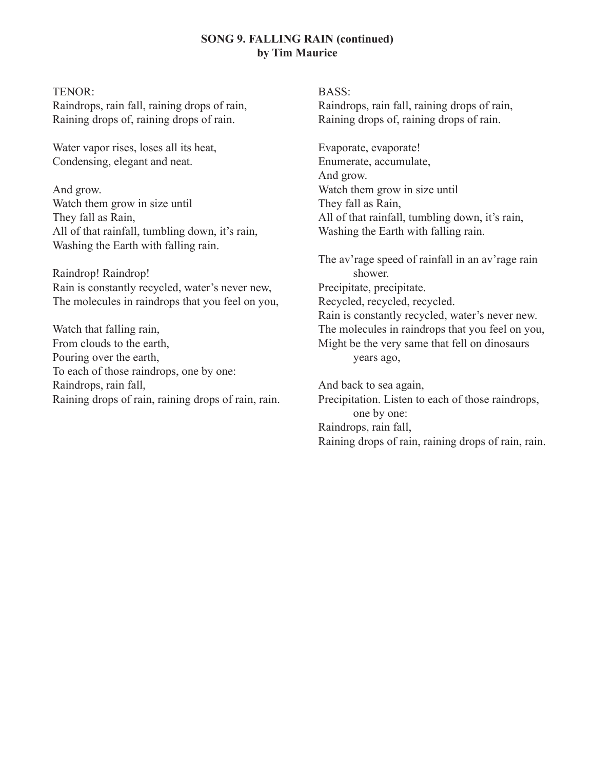#### **SONG 9. FALLING RAIN (continued) by Tim Maurice**

#### TENOR:

Raindrops, rain fall, raining drops of rain, Raining drops of, raining drops of rain.

Water vapor rises, loses all its heat, Condensing, elegant and neat.

And grow. Watch them grow in size until They fall as Rain, All of that rainfall, tumbling down, it's rain, Washing the Earth with falling rain.

Raindrop! Raindrop! Rain is constantly recycled, water's never new, The molecules in raindrops that you feel on you,

Watch that falling rain, From clouds to the earth, Pouring over the earth, To each of those raindrops, one by one: Raindrops, rain fall, Raining drops of rain, raining drops of rain, rain. BASS:

Raindrops, rain fall, raining drops of rain, Raining drops of, raining drops of rain.

Evaporate, evaporate! Enumerate, accumulate, And grow. Watch them grow in size until They fall as Rain, All of that rainfall, tumbling down, it's rain, Washing the Earth with falling rain.

The av'rage speed of rainfall in an av'rage rain shower. Precipitate, precipitate. Recycled, recycled, recycled. Rain is constantly recycled, water's never new. The molecules in raindrops that you feel on you, Might be the very same that fell on dinosaurs years ago,

And back to sea again, Precipitation. Listen to each of those raindrops, one by one: Raindrops, rain fall, Raining drops of rain, raining drops of rain, rain.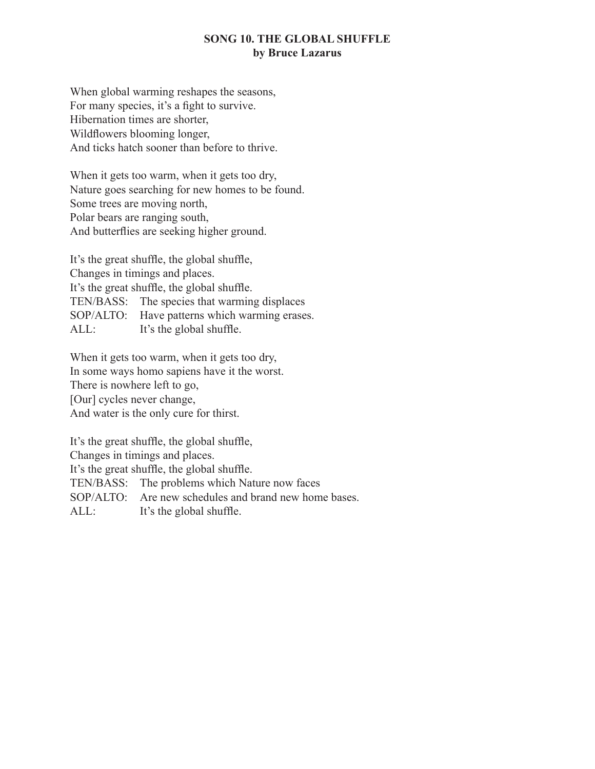#### **SONG 10. THE GLOBAL SHUFFLE by Bruce Lazarus**

When global warming reshapes the seasons, For many species, it's a fight to survive. Hibernation times are shorter, Wildflowers blooming longer, And ticks hatch sooner than before to thrive.

When it gets too warm, when it gets too dry, Nature goes searching for new homes to be found. Some trees are moving north, Polar bears are ranging south, And butterflies are seeking higher ground.

It's the great shuffle, the global shuffle, Changes in timings and places. It's the great shuffle, the global shuffle. TEN/BASS: The species that warming displaces SOP/ALTO: Have patterns which warming erases. ALL: It's the global shuffle.

When it gets too warm, when it gets too dry, In some ways homo sapiens have it the worst. There is nowhere left to go, [Our] cycles never change, And water is the only cure for thirst.

It's the great shuffle, the global shuffle,

Changes in timings and places.

It's the great shuffle, the global shuffle.

TEN/BASS: The problems which Nature now faces

SOP/ALTO: Are new schedules and brand new home bases.

ALL: It's the global shuffle.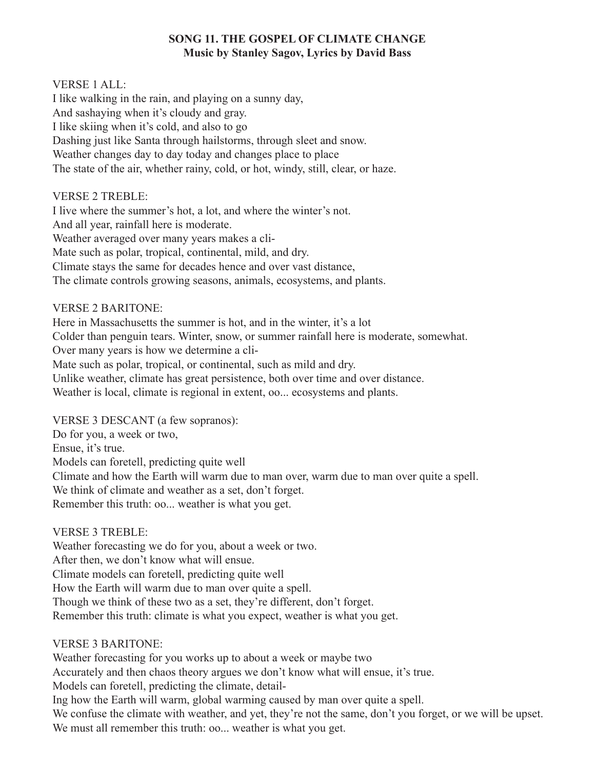# **SONG 11. THE GOSPEL OF CLIMATE CHANGE Music by Stanley Sagov, Lyrics by David Bass**

#### VERSE 1 ALL:

I like walking in the rain, and playing on a sunny day, And sashaying when it's cloudy and gray. I like skiing when it's cold, and also to go Dashing just like Santa through hailstorms, through sleet and snow. Weather changes day to day today and changes place to place The state of the air, whether rainy, cold, or hot, windy, still, clear, or haze.

#### VERSE 2 TREBLE:

I live where the summer's hot, a lot, and where the winter's not. And all year, rainfall here is moderate. Weather averaged over many years makes a cli-Mate such as polar, tropical, continental, mild, and dry. Climate stays the same for decades hence and over vast distance, The climate controls growing seasons, animals, ecosystems, and plants.

#### VERSE 2 BARITONE:

Here in Massachusetts the summer is hot, and in the winter, it's a lot Colder than penguin tears. Winter, snow, or summer rainfall here is moderate, somewhat. Over many years is how we determine a cli-Mate such as polar, tropical, or continental, such as mild and dry. Unlike weather, climate has great persistence, both over time and over distance. Weather is local, climate is regional in extent, oo... ecosystems and plants.

VERSE 3 DESCANT (a few sopranos):

Do for you, a week or two, Ensue, it's true. Models can foretell, predicting quite well Climate and how the Earth will warm due to man over, warm due to man over quite a spell. We think of climate and weather as a set, don't forget. Remember this truth: oo... weather is what you get.

#### VERSE 3 TREBLE:

Weather forecasting we do for you, about a week or two. After then, we don't know what will ensue. Climate models can foretell, predicting quite well How the Earth will warm due to man over quite a spell. Though we think of these two as a set, they're different, don't forget. Remember this truth: climate is what you expect, weather is what you get.

#### VERSE 3 BARITONE:

Weather forecasting for you works up to about a week or maybe two Accurately and then chaos theory argues we don't know what will ensue, it's true. Models can foretell, predicting the climate, detail-Ing how the Earth will warm, global warming caused by man over quite a spell. We confuse the climate with weather, and yet, they're not the same, don't you forget, or we will be upset. We must all remember this truth: oo... weather is what you get.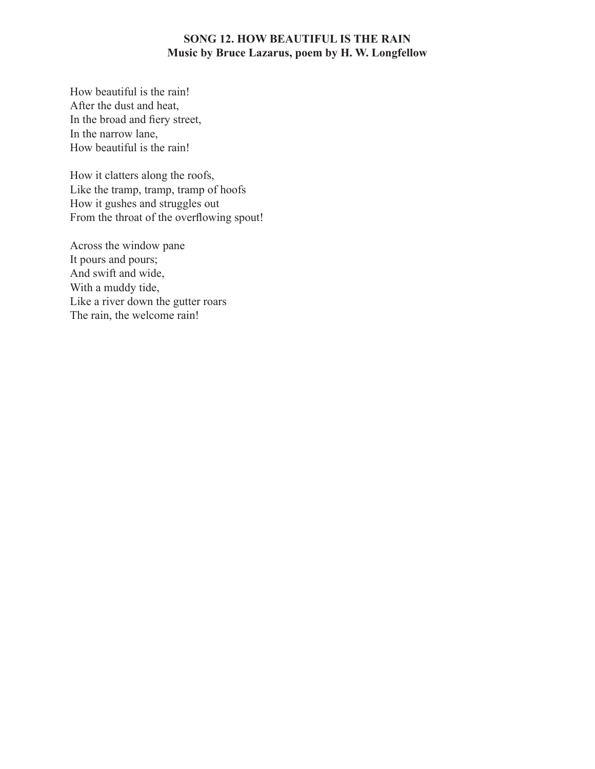#### **SONG 12. HOW BEAUTIFUL IS THE RAIN Music by Bruce Lazarus, poem by H. W. Longfellow**

How beautiful is the rain! After the dust and heat, In the broad and fiery street, In the narrow lane, How beautiful is the rain!

How it clatters along the roofs, Like the tramp, tramp, tramp of hoofs How it gushes and struggles out From the throat of the overflowing spout!

Across the window pane It pours and pours; And swift and wide, With a muddy tide, Like a river down the gutter roars The rain, the welcome rain!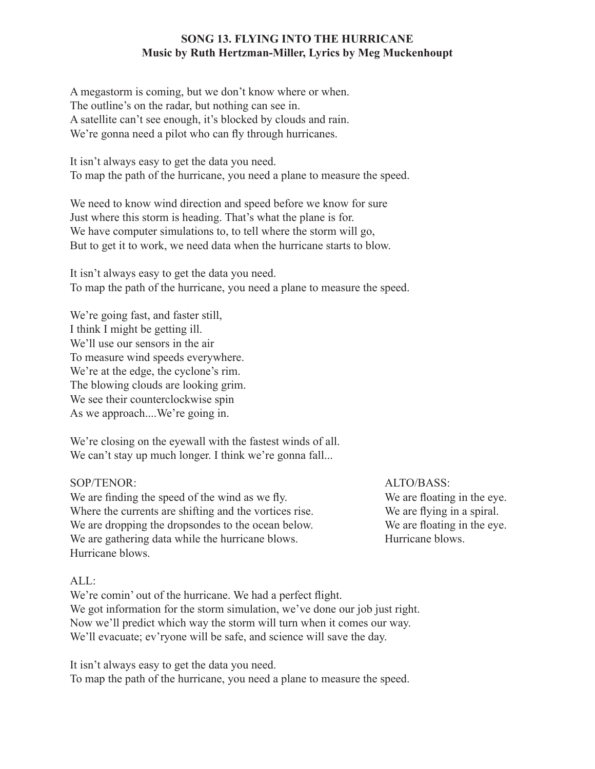#### **SONG 13. FLYING INTO THE HURRICANE Music by Ruth Hertzman-Miller, Lyrics by Meg Muckenhoupt**

A megastorm is coming, but we don't know where or when. The outline's on the radar, but nothing can see in. A satellite can't see enough, it's blocked by clouds and rain. We're gonna need a pilot who can fly through hurricanes.

It isn't always easy to get the data you need. To map the path of the hurricane, you need a plane to measure the speed.

We need to know wind direction and speed before we know for sure Just where this storm is heading. That's what the plane is for. We have computer simulations to, to tell where the storm will go, But to get it to work, we need data when the hurricane starts to blow.

It isn't always easy to get the data you need. To map the path of the hurricane, you need a plane to measure the speed.

We're going fast, and faster still, I think I might be getting ill. We'll use our sensors in the air To measure wind speeds everywhere. We're at the edge, the cyclone's rim. The blowing clouds are looking grim. We see their counterclockwise spin As we approach....We're going in.

We're closing on the eyewall with the fastest winds of all. We can't stay up much longer. I think we're gonna fall...

#### SOP/TENOR:

We are finding the speed of the wind as we fly. Where the currents are shifting and the vortices rise. We are dropping the dropsondes to the ocean below. We are gathering data while the hurricane blows. Hurricane blows.

ALTO/BASS: We are floating in the eye. We are flying in a spiral. We are floating in the eye. Hurricane blows.

#### ALL:

We're comin' out of the hurricane. We had a perfect flight. We got information for the storm simulation, we've done our job just right. Now we'll predict which way the storm will turn when it comes our way. We'll evacuate; ev'ryone will be safe, and science will save the day.

It isn't always easy to get the data you need. To map the path of the hurricane, you need a plane to measure the speed.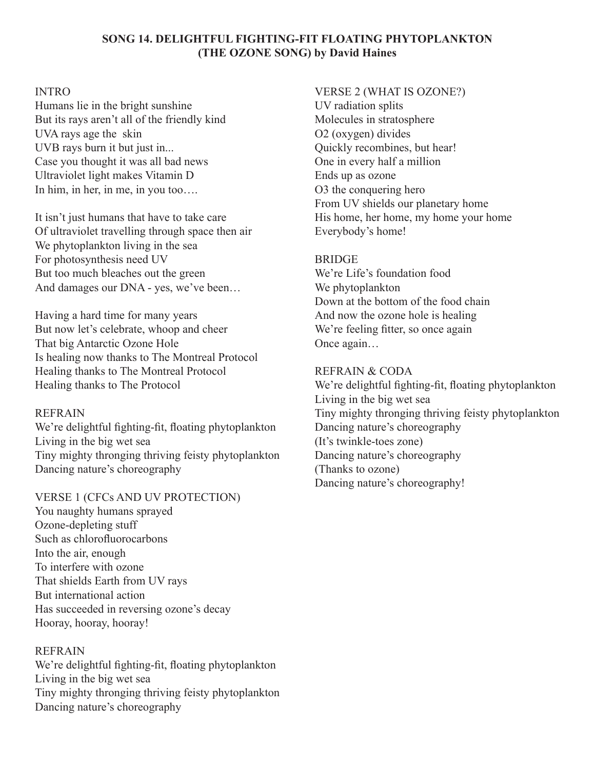#### **SONG 14. DELIGHTFUL FIGHTING-FIT FLOATING PHYTOPLANKTON (THE OZONE SONG) by David Haines**

#### INTRO

Humans lie in the bright sunshine But its rays aren't all of the friendly kind UVA rays age the skin UVB rays burn it but just in... Case you thought it was all bad news Ultraviolet light makes Vitamin D In him, in her, in me, in you too….

It isn't just humans that have to take care Of ultraviolet travelling through space then air We phytoplankton living in the sea For photosynthesis need UV But too much bleaches out the green And damages our DNA - yes, we've been…

Having a hard time for many years But now let's celebrate, whoop and cheer That big Antarctic Ozone Hole Is healing now thanks to The Montreal Protocol Healing thanks to The Montreal Protocol Healing thanks to The Protocol

#### REFRAIN

We're delightful fighting-fit, floating phytoplankton Living in the big wet sea Tiny mighty thronging thriving feisty phytoplankton Dancing nature's choreography

#### VERSE 1 (CFCs AND UV PROTECTION)

You naughty humans sprayed Ozone-depleting stuff Such as chlorofluorocarbons Into the air, enough To interfere with ozone That shields Earth from UV rays But international action Has succeeded in reversing ozone's decay Hooray, hooray, hooray!

#### **REFRAIN**

We're delightful fighting-fit, floating phytoplankton Living in the big wet sea Tiny mighty thronging thriving feisty phytoplankton Dancing nature's choreography

#### VERSE 2 (WHAT IS OZONE?)

UV radiation splits Molecules in stratosphere O2 (oxygen) divides Quickly recombines, but hear! One in every half a million Ends up as ozone O3 the conquering hero From UV shields our planetary home His home, her home, my home your home Everybody's home!

# **BRIDGE**

We're Life's foundation food We phytoplankton Down at the bottom of the food chain And now the ozone hole is healing We're feeling fitter, so once again Once again…

# REFRAIN & CODA

We're delightful fighting-fit, floating phytoplankton Living in the big wet sea Tiny mighty thronging thriving feisty phytoplankton Dancing nature's choreography (It's twinkle-toes zone) Dancing nature's choreography (Thanks to ozone) Dancing nature's choreography!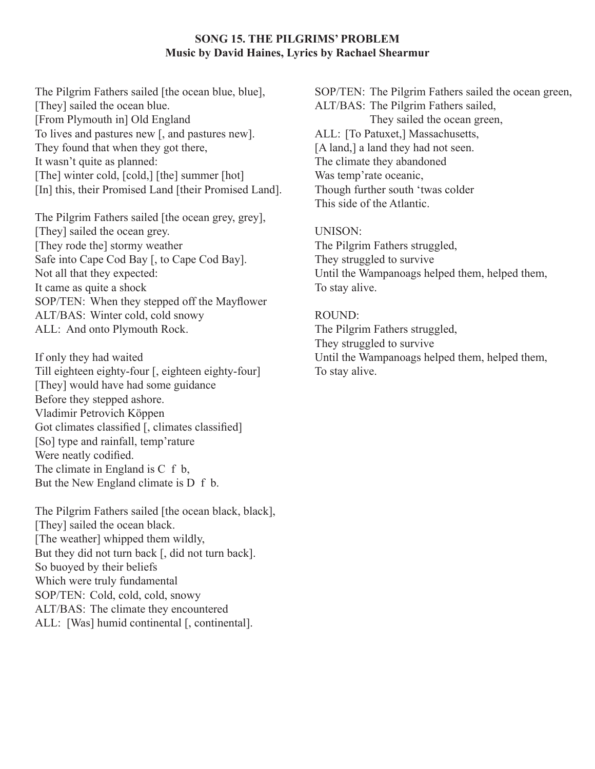#### **SONG 15. THE PILGRIMS' PROBLEM Music by David Haines, Lyrics by Rachael Shearmur**

The Pilgrim Fathers sailed [the ocean blue, blue], [They] sailed the ocean blue. [From Plymouth in] Old England To lives and pastures new [, and pastures new]. They found that when they got there, It wasn't quite as planned: [The] winter cold, [cold,] [the] summer [hot] [In] this, their Promised Land [their Promised Land].

The Pilgrim Fathers sailed [the ocean grey, grey], [They] sailed the ocean grey. [They rode the] stormy weather Safe into Cape Cod Bay [, to Cape Cod Bay]. Not all that they expected: It came as quite a shock SOP/TEN: When they stepped off the Mayflower ALT/BAS: Winter cold, cold snowy ALL: And onto Plymouth Rock.

If only they had waited Till eighteen eighty-four [, eighteen eighty-four] [They] would have had some guidance Before they stepped ashore. Vladimir Petrovich Köppen Got climates classified [, climates classified] [So] type and rainfall, temp'rature Were neatly codified. The climate in England is C f b, But the New England climate is D f b.

The Pilgrim Fathers sailed [the ocean black, black], [They] sailed the ocean black. [The weather] whipped them wildly, But they did not turn back [, did not turn back]. So buoyed by their beliefs Which were truly fundamental SOP/TEN: Cold, cold, cold, snowy ALT/BAS: The climate they encountered ALL: [Was] humid continental [, continental].

SOP/TEN: The Pilgrim Fathers sailed the ocean green, ALT/BAS: The Pilgrim Fathers sailed, They sailed the ocean green, ALL: [To Patuxet,] Massachusetts, [A land,] a land they had not seen. The climate they abandoned Was temp'rate oceanic, Though further south 'twas colder This side of the Atlantic.

#### UNISON:

The Pilgrim Fathers struggled, They struggled to survive Until the Wampanoags helped them, helped them, To stay alive.

#### ROUND:

The Pilgrim Fathers struggled, They struggled to survive Until the Wampanoags helped them, helped them, To stay alive.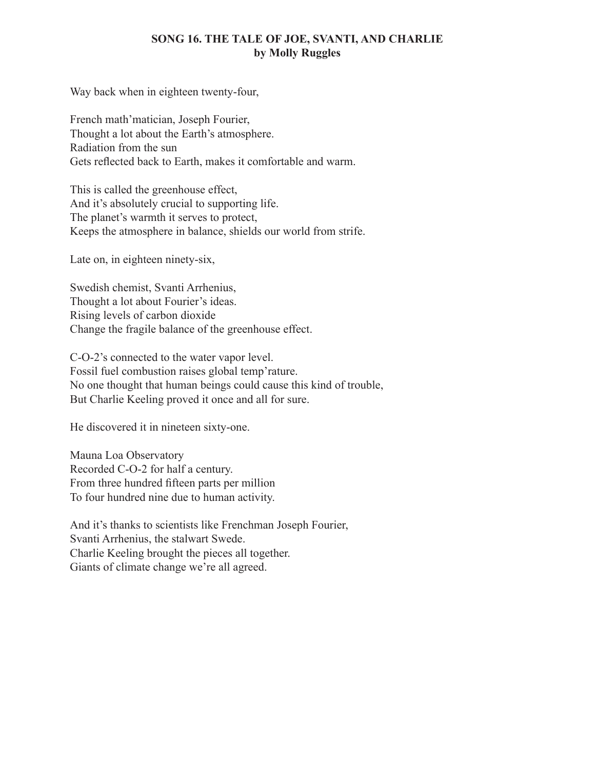#### **SONG 16. THE TALE OF JOE, SVANTI, AND CHARLIE by Molly Ruggles**

Way back when in eighteen twenty-four,

French math'matician, Joseph Fourier, Thought a lot about the Earth's atmosphere. Radiation from the sun Gets reflected back to Earth, makes it comfortable and warm.

This is called the greenhouse effect, And it's absolutely crucial to supporting life. The planet's warmth it serves to protect, Keeps the atmosphere in balance, shields our world from strife.

Late on, in eighteen ninety-six,

Swedish chemist, Svanti Arrhenius, Thought a lot about Fourier's ideas. Rising levels of carbon dioxide Change the fragile balance of the greenhouse effect.

C-O-2's connected to the water vapor level. Fossil fuel combustion raises global temp'rature. No one thought that human beings could cause this kind of trouble, But Charlie Keeling proved it once and all for sure.

He discovered it in nineteen sixty-one.

Mauna Loa Observatory Recorded C-O-2 for half a century. From three hundred fifteen parts per million To four hundred nine due to human activity.

And it's thanks to scientists like Frenchman Joseph Fourier, Svanti Arrhenius, the stalwart Swede. Charlie Keeling brought the pieces all together. Giants of climate change we're all agreed.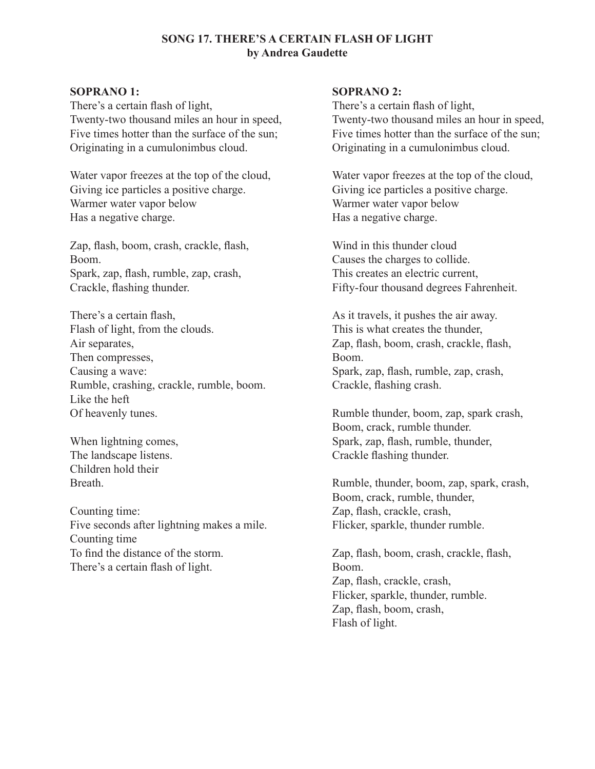#### **SONG 17. THERE'S A CERTAIN FLASH OF LIGHT by Andrea Gaudette**

#### **SOPRANO 1:**

There's a certain flash of light, Twenty-two thousand miles an hour in speed, Five times hotter than the surface of the sun; Originating in a cumulonimbus cloud.

Water vapor freezes at the top of the cloud, Giving ice particles a positive charge. Warmer water vapor below Has a negative charge.

Zap, flash, boom, crash, crackle, flash, Boom. Spark, zap, flash, rumble, zap, crash, Crackle, flashing thunder.

There's a certain flash, Flash of light, from the clouds. Air separates, Then compresses, Causing a wave: Rumble, crashing, crackle, rumble, boom. Like the heft Of heavenly tunes.

When lightning comes, The landscape listens. Children hold their **Breath** 

Counting time: Five seconds after lightning makes a mile. Counting time To find the distance of the storm. There's a certain flash of light.

#### **SOPRANO 2:**

There's a certain flash of light, Twenty-two thousand miles an hour in speed, Five times hotter than the surface of the sun; Originating in a cumulonimbus cloud.

Water vapor freezes at the top of the cloud, Giving ice particles a positive charge. Warmer water vapor below Has a negative charge.

Wind in this thunder cloud Causes the charges to collide. This creates an electric current, Fifty-four thousand degrees Fahrenheit.

As it travels, it pushes the air away. This is what creates the thunder, Zap, flash, boom, crash, crackle, flash, Boom. Spark, zap, flash, rumble, zap, crash, Crackle, flashing crash.

Rumble thunder, boom, zap, spark crash, Boom, crack, rumble thunder. Spark, zap, flash, rumble, thunder, Crackle flashing thunder.

Rumble, thunder, boom, zap, spark, crash, Boom, crack, rumble, thunder, Zap, flash, crackle, crash, Flicker, sparkle, thunder rumble.

Zap, flash, boom, crash, crackle, flash, Boom. Zap, flash, crackle, crash, Flicker, sparkle, thunder, rumble. Zap, flash, boom, crash, Flash of light.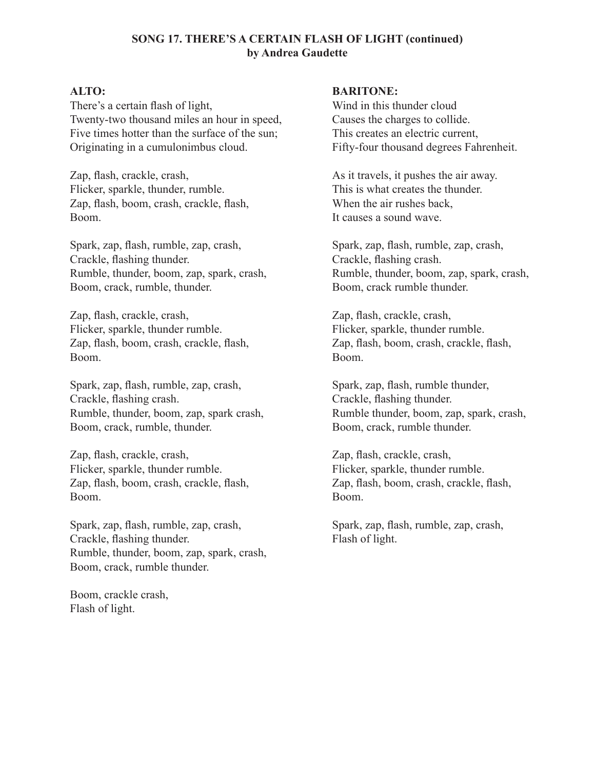#### **SONG 17. THERE'S A CERTAIN FLASH OF LIGHT (continued) by Andrea Gaudette**

#### **ALTO:**

There's a certain flash of light, Twenty-two thousand miles an hour in speed, Five times hotter than the surface of the sun; Originating in a cumulonimbus cloud.

Zap, flash, crackle, crash, Flicker, sparkle, thunder, rumble. Zap, flash, boom, crash, crackle, flash, Boom.

Spark, zap, flash, rumble, zap, crash, Crackle, flashing thunder. Rumble, thunder, boom, zap, spark, crash, Boom, crack, rumble, thunder.

Zap, flash, crackle, crash, Flicker, sparkle, thunder rumble. Zap, flash, boom, crash, crackle, flash, Boom.

Spark, zap, flash, rumble, zap, crash, Crackle, flashing crash. Rumble, thunder, boom, zap, spark crash, Boom, crack, rumble, thunder.

Zap, flash, crackle, crash, Flicker, sparkle, thunder rumble. Zap, flash, boom, crash, crackle, flash, Boom.

Spark, zap, flash, rumble, zap, crash, Crackle, flashing thunder. Rumble, thunder, boom, zap, spark, crash, Boom, crack, rumble thunder.

Boom, crackle crash, Flash of light.

#### **BARITONE:**

Wind in this thunder cloud Causes the charges to collide. This creates an electric current, Fifty-four thousand degrees Fahrenheit.

As it travels, it pushes the air away. This is what creates the thunder. When the air rushes back, It causes a sound wave.

Spark, zap, flash, rumble, zap, crash, Crackle, flashing crash. Rumble, thunder, boom, zap, spark, crash, Boom, crack rumble thunder.

Zap, flash, crackle, crash, Flicker, sparkle, thunder rumble. Zap, flash, boom, crash, crackle, flash, Boom.

Spark, zap, flash, rumble thunder, Crackle, flashing thunder. Rumble thunder, boom, zap, spark, crash, Boom, crack, rumble thunder.

Zap, flash, crackle, crash, Flicker, sparkle, thunder rumble. Zap, flash, boom, crash, crackle, flash, Boom.

Spark, zap, flash, rumble, zap, crash, Flash of light.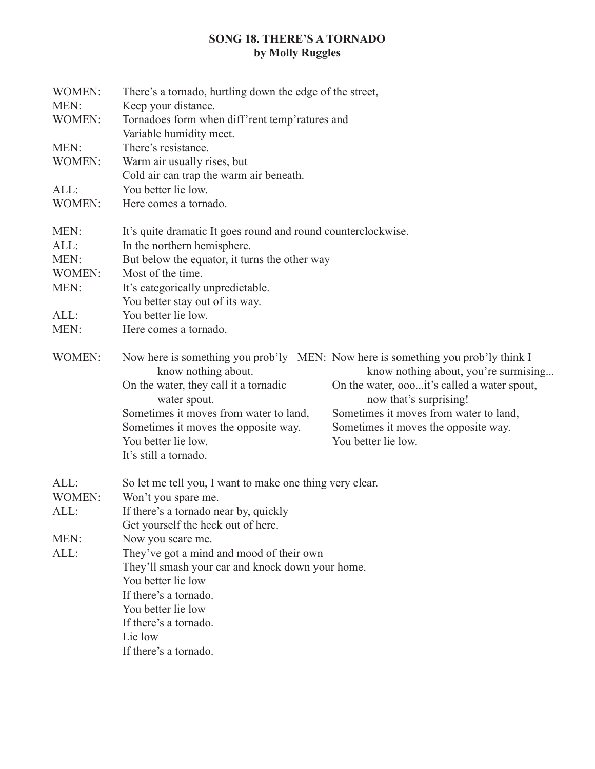# **SONG 18. THERE'S A TORNADO by Molly Ruggles**

| WOMEN:        | There's a tornado, hurtling down the edge of the street,                                                                                         |                                                                                     |  |
|---------------|--------------------------------------------------------------------------------------------------------------------------------------------------|-------------------------------------------------------------------------------------|--|
| MEN:          | Keep your distance.                                                                                                                              |                                                                                     |  |
| <b>WOMEN:</b> | Tornadoes form when diff'rent temp'ratures and<br>Variable humidity meet.                                                                        |                                                                                     |  |
| MEN:          | There's resistance.                                                                                                                              |                                                                                     |  |
| <b>WOMEN:</b> | Warm air usually rises, but                                                                                                                      |                                                                                     |  |
|               | Cold air can trap the warm air beneath.                                                                                                          |                                                                                     |  |
| ALL:          | You better lie low.                                                                                                                              |                                                                                     |  |
| <b>WOMEN:</b> | Here comes a tornado.                                                                                                                            |                                                                                     |  |
| MEN:          | It's quite dramatic It goes round and round counterclockwise.                                                                                    |                                                                                     |  |
| ALL:          | In the northern hemisphere.                                                                                                                      |                                                                                     |  |
| MEN:          | But below the equator, it turns the other way                                                                                                    |                                                                                     |  |
| WOMEN:        | Most of the time.                                                                                                                                |                                                                                     |  |
| MEN:          | It's categorically unpredictable.<br>You better stay out of its way.                                                                             |                                                                                     |  |
| ALL:          | You better lie low.                                                                                                                              |                                                                                     |  |
| MEN:          | Here comes a tornado.                                                                                                                            |                                                                                     |  |
| <b>WOMEN:</b> | Now here is something you prob'ly MEN: Now here is something you prob'ly think I<br>know nothing about.<br>On the water, they call it a tornadic | know nothing about, you're surmising<br>On the water, oooit's called a water spout, |  |
|               | water spout.<br>Sometimes it moves from water to land,                                                                                           | now that's surprising!<br>Sometimes it moves from water to land,                    |  |
|               |                                                                                                                                                  |                                                                                     |  |
|               | Sometimes it moves the opposite way.<br>You better lie low.                                                                                      | Sometimes it moves the opposite way.<br>You better lie low.                         |  |
|               | It's still a tornado.                                                                                                                            |                                                                                     |  |
|               |                                                                                                                                                  |                                                                                     |  |
| ALL:          | So let me tell you, I want to make one thing very clear.                                                                                         |                                                                                     |  |
| <b>WOMEN:</b> | Won't you spare me.                                                                                                                              |                                                                                     |  |
| ALL:          | If there's a tornado near by, quickly                                                                                                            |                                                                                     |  |
|               | Get yourself the heck out of here.                                                                                                               |                                                                                     |  |
| MEN:          | Now you scare me.                                                                                                                                |                                                                                     |  |
| ALL:          | They've got a mind and mood of their own                                                                                                         |                                                                                     |  |
|               | They'll smash your car and knock down your home.                                                                                                 |                                                                                     |  |
|               | You better lie low                                                                                                                               |                                                                                     |  |
|               | If there's a tornado.                                                                                                                            |                                                                                     |  |
|               | You better lie low                                                                                                                               |                                                                                     |  |
|               | If there's a tornado.                                                                                                                            |                                                                                     |  |
|               | Lie low                                                                                                                                          |                                                                                     |  |
|               | If there's a tornado.                                                                                                                            |                                                                                     |  |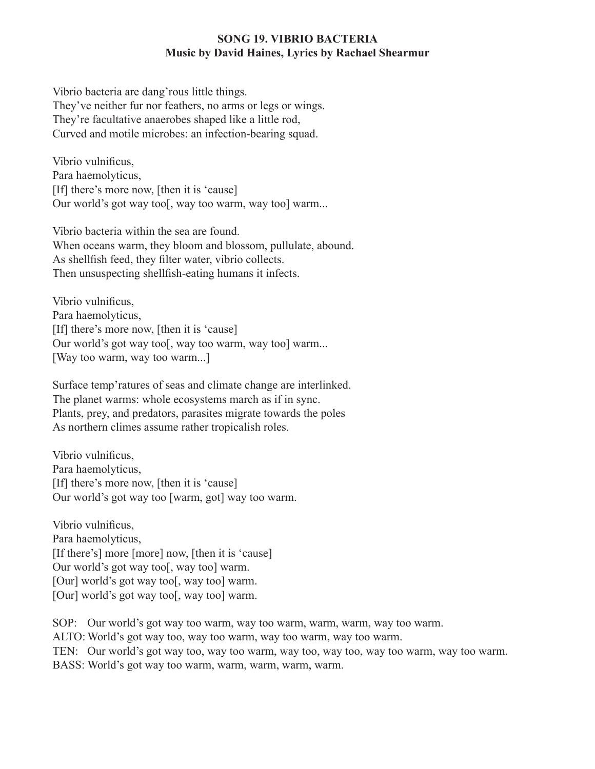#### **SONG 19. VIBRIO BACTERIA Music by David Haines, Lyrics by Rachael Shearmur**

Vibrio bacteria are dang'rous little things. They've neither fur nor feathers, no arms or legs or wings. They're facultative anaerobes shaped like a little rod, Curved and motile microbes: an infection-bearing squad.

Vibrio vulnificus, Para haemolyticus, [If] there's more now, [then it is 'cause] Our world's got way too[, way too warm, way too] warm...

Vibrio bacteria within the sea are found. When oceans warm, they bloom and blossom, pullulate, abound. As shellfish feed, they filter water, vibrio collects. Then unsuspecting shellfish-eating humans it infects.

Vibrio vulnificus, Para haemolyticus, [If] there's more now, [then it is 'cause] Our world's got way too[, way too warm, way too] warm... [Way too warm, way too warm...]

Surface temp'ratures of seas and climate change are interlinked. The planet warms: whole ecosystems march as if in sync. Plants, prey, and predators, parasites migrate towards the poles As northern climes assume rather tropicalish roles.

Vibrio vulnificus, Para haemolyticus, [If] there's more now, [then it is 'cause] Our world's got way too [warm, got] way too warm.

Vibrio vulnificus, Para haemolyticus, [If there's] more [more] now, [then it is 'cause] Our world's got way too[, way too] warm. [Our] world's got way too[, way too] warm. [Our] world's got way too[, way too] warm.

SOP: Our world's got way too warm, way too warm, warm, warm, way too warm. ALTO: World's got way too, way too warm, way too warm, way too warm. TEN: Our world's got way too, way too warm, way too, way too, way too warm, way too warm. BASS: World's got way too warm, warm, warm, warm, warm.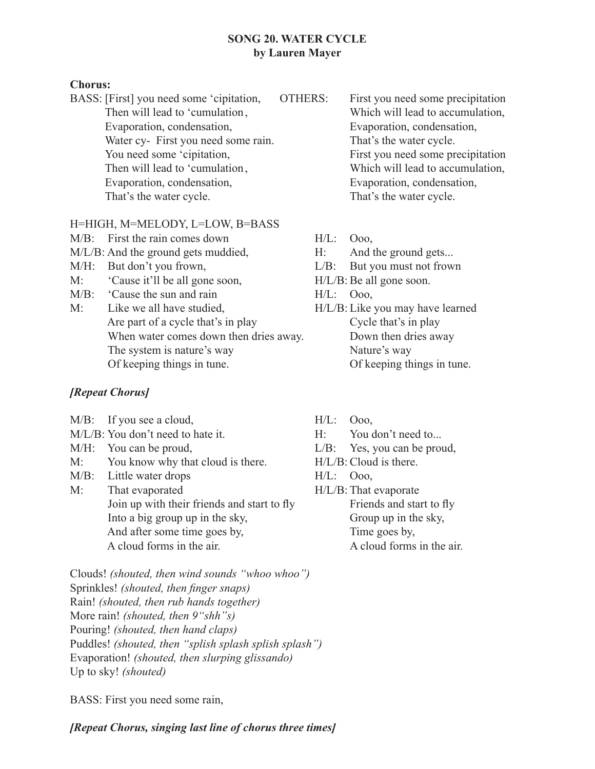#### **SONG 20. WATER CYCLE by Lauren Mayer**

#### **Chorus:**

BASS: [First] you need some 'cipitation, OTHERS: First you need some precipitation Then will lead to 'cumulation, Which will lead to accumulation, Evaporation, condensation, Evaporation, condensation, Water cy- First you need some rain. That's the water cycle. You need some 'cipitation, First you need some precipitation Then will lead to 'cumulation, Which will lead to accumulation, Evaporation, condensation, Evaporation, condensation, That's the water cycle. That's the water cycle.

# H=HIGH, M=MELODY, L=LOW, B=BASS

- M/B: First the rain comes down H/L: Ooo,
- M/L/B: And the ground gets muddied, H: And the ground gets...
- 
- M: 'Cause it'll be all gone soon, H/L/B:Be all gone soon.
- M/B: 'Cause the sun and rain H/L: Ooo,
- M: Like we all have studied, H/L/B: Like you may have learned Are part of a cycle that's in play Cycle that's in play When water comes down then dries away. Down then dries away The system is nature's way Nature's way Of keeping things in tune. Of keeping things in tune.

# *[Repeat Chorus]*

 $M/B$ : If you see a cloud,  $H/L$ :  $O$ <sub>00</sub>, M/L/B: You don't need to hate it. H: You don't need to... M/H: You can be proud,  $L/B$ : Yes, you can be proud, M: You know why that cloud is there. H/L/B: Cloud is there. M/B: Little water drops H/L: Ooo, M: That evaporated H/L/B: That evaporate Join up with their friends and start to fly Friends and start to fly Into a big group up in the sky, Group up in the sky, And after some time goes by, Time goes by, A cloud forms in the air. A cloud forms in the air.

Clouds! *(shouted, then wind sounds "whoo whoo")* Sprinkles! *(shouted, then finger snaps)* Rain! *(shouted, then rub hands together)* More rain! *(shouted, then 9"shh"s)* Pouring! *(shouted, then hand claps)* Puddles! *(shouted, then "splish splash splish splash")* Evaporation! *(shouted, then slurping glissando)* Up to sky! *(shouted)*

BASS: First you need some rain,

# *[Repeat Chorus, singing last line of chorus three times]*

- 
- 
- 
- M/H: But don't you frown,  $L/B$ : But you must not frown
	-
	-
	-
	-
	-
	-
	-
	-
	-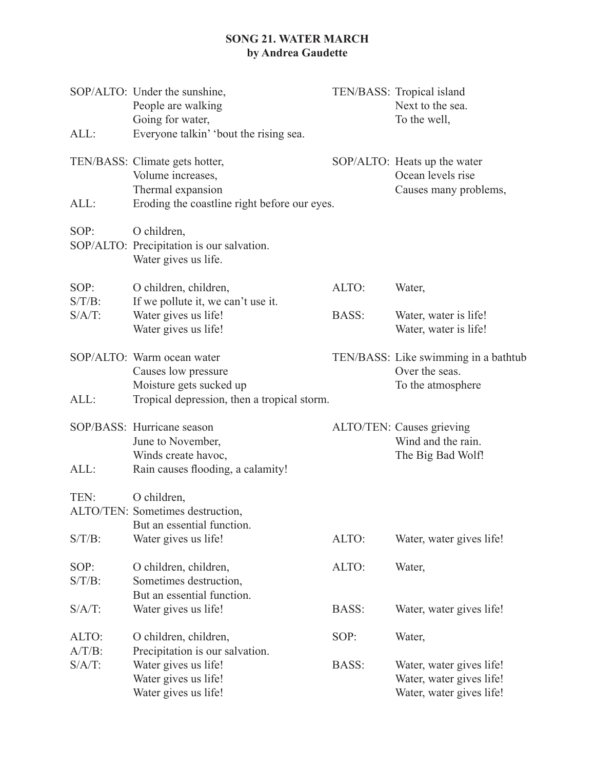# **SONG 21. WATER MARCH by Andrea Gaudette**

| ALL:                   | SOP/ALTO: Under the sunshine,<br>People are walking<br>Going for water,<br>Everyone talkin' 'bout the rising sea.        |       | TEN/BASS: Tropical island<br>Next to the sea.<br>To the well,                    |
|------------------------|--------------------------------------------------------------------------------------------------------------------------|-------|----------------------------------------------------------------------------------|
| ALL:                   | TEN/BASS: Climate gets hotter,<br>Volume increases,<br>Thermal expansion<br>Eroding the coastline right before our eyes. |       | SOP/ALTO: Heats up the water<br>Ocean levels rise<br>Causes many problems,       |
| SOP:                   | O children,<br>SOP/ALTO: Precipitation is our salvation.<br>Water gives us life.                                         |       |                                                                                  |
| SOP:                   | O children, children,                                                                                                    | ALTO: | Water,                                                                           |
| $S/T/B$ :<br>$S/A/T$ : | If we pollute it, we can't use it.<br>Water gives us life!<br>Water gives us life!                                       | BASS: | Water, water is life!<br>Water, water is life!                                   |
|                        | SOP/ALTO: Warm ocean water<br>Causes low pressure<br>Moisture gets sucked up                                             |       | TEN/BASS: Like swimming in a bathtub<br>Over the seas.<br>To the atmosphere      |
| ALL:                   | Tropical depression, then a tropical storm.                                                                              |       |                                                                                  |
| ALL:                   | SOP/BASS: Hurricane season<br>June to November,<br>Winds create havoc,<br>Rain causes flooding, a calamity!              |       | ALTO/TEN: Causes grieving<br>Wind and the rain.<br>The Big Bad Wolf!             |
| TEN:                   | O children,<br>ALTO/TEN: Sometimes destruction,<br>But an essential function.                                            |       |                                                                                  |
| $S/T/B$ :              | Water gives us life!                                                                                                     | ALTO: | Water, water gives life!                                                         |
| SOP:<br>$S/T/B$ :      | O children, children,<br>Sometimes destruction,<br>But an essential function.                                            | ALTO: | Water,                                                                           |
| $S/A/T$ :              | Water gives us life!                                                                                                     | BASS: | Water, water gives life!                                                         |
| ALTO:<br>$A/T/B$ :     | O children, children,<br>Precipitation is our salvation.                                                                 | SOP:  | Water,                                                                           |
| $S/A/T$ :              | Water gives us life!<br>Water gives us life!<br>Water gives us life!                                                     | BASS: | Water, water gives life!<br>Water, water gives life!<br>Water, water gives life! |